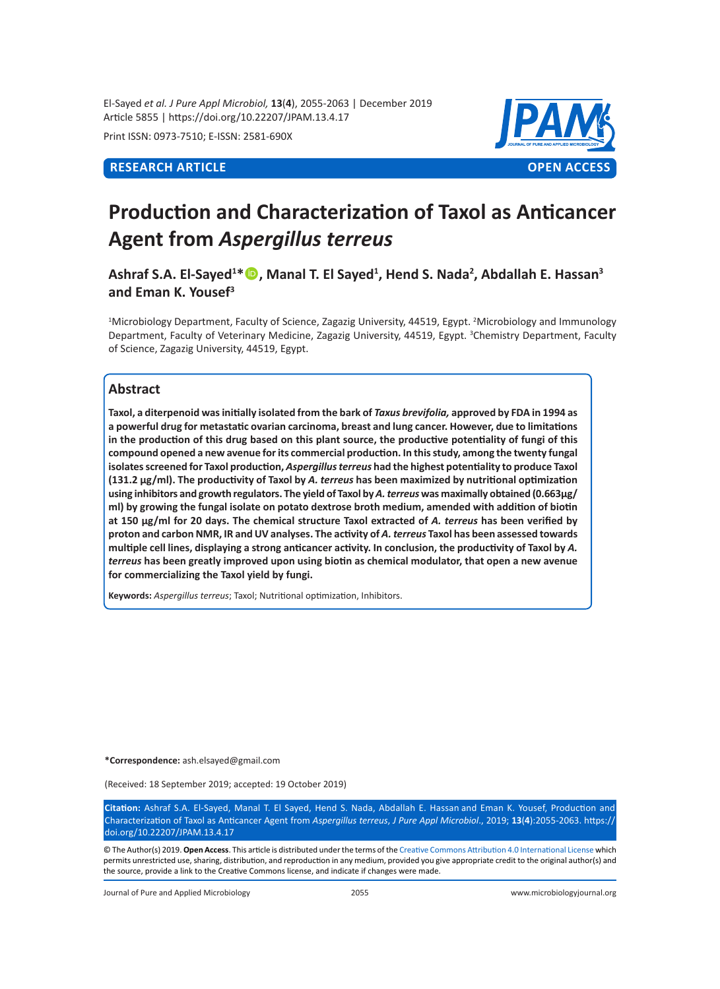El-Sayed *et al. J Pure Appl Microbiol,* **13**(**4**), 2055-2063 | December 2019 Article 5855 | https://doi.org/10.22207/JPAM.13.4.17

Print ISSN: 0973-7510; E-ISSN: 2581-690X



# **Production and Characterization of Taxol as Anticancer Agent from** *Aspergillus terreus*

**Ashraf S.A. El-Sayed<sup>1</sup> \*, Manal T. El Sayed<sup>1</sup> , Hend S. Nada<sup>2</sup> , Abdallah E. Hassan<sup>3</sup> and Eman K. Yousef<sup>3</sup>**

<sup>1</sup>Microbiology Department, Faculty of Science, Zagazig University, 44519, Egypt. <sup>2</sup>Microbiology and Immunology Department, Faculty of Veterinary Medicine, Zagazig University, 44519, Egypt. <sup>3</sup>Chemistry Department, Faculty of Science, Zagazig University, 44519, Egypt.

### **Abstract**

**Taxol, a diterpenoid was initially isolated from the bark of** *Taxus brevifolia,* **approved by FDA in 1994 as a powerful drug for metastatic ovarian carcinoma, breast and lung cancer. However, due to limitations in the production of this drug based on this plant source, the productive potentiality of fungi of this compound opened a new avenue for its commercial production. In this study, among the twenty fungal isolates screened for Taxol production,** *Aspergillus terreus* **had the highest potentiality to produce Taxol (131.2 µg/ml). The productivity of Taxol by** *A. terreus* **has been maximized by nutritional optimization using inhibitors and growth regulators. The yield of Taxol by** *A. terreus* **was maximally obtained (0.663µg/ ml) by growing the fungal isolate on potato dextrose broth medium, amended with addition of biotin at 150 µg/ml for 20 days. The chemical structure Taxol extracted of** *A. terreus* **has been verified by proton and carbon NMR, IR and UV analyses. The activity of** *A. terreus* **Taxol has been assessed towards multiple cell lines, displaying a strong anticancer activity. In conclusion, the productivity of Taxol by** *A. terreus* **has been greatly improved upon using biotin as chemical modulator, that open a new avenue for commercializing the Taxol yield by fungi.** 

**Keywords:** *Aspergillus terreus*; Taxol; Nutritional optimization, Inhibitors.

**\*Correspondence:** ash.elsayed@gmail.com

(Received: 18 September 2019; accepted: 19 October 2019)

**Citation:** Ashraf S.A. El-Sayed, Manal T. El Sayed, Hend S. Nada, Abdallah E. Hassan and Eman K. Yousef, Production and Characterization of Taxol as Anticancer Agent from *Aspergillus terreus*, *J Pure Appl Microbiol*., 2019; **13**(**4**):2055-2063. https:// doi.org/10.22207/JPAM.13.4.17

© The Author(s) 2019. **Open Access**. This article is distributed under the terms of the [Creative Commons Attribution 4.0 International License](https://creativecommons.org/licenses/by/4.0/) which permits unrestricted use, sharing, distribution, and reproduction in any medium, provided you give appropriate credit to the original author(s) and the source, provide a link to the Creative Commons license, and indicate if changes were made.

Journal of Pure and Applied Microbiology 2055 www.microbiologyjournal.org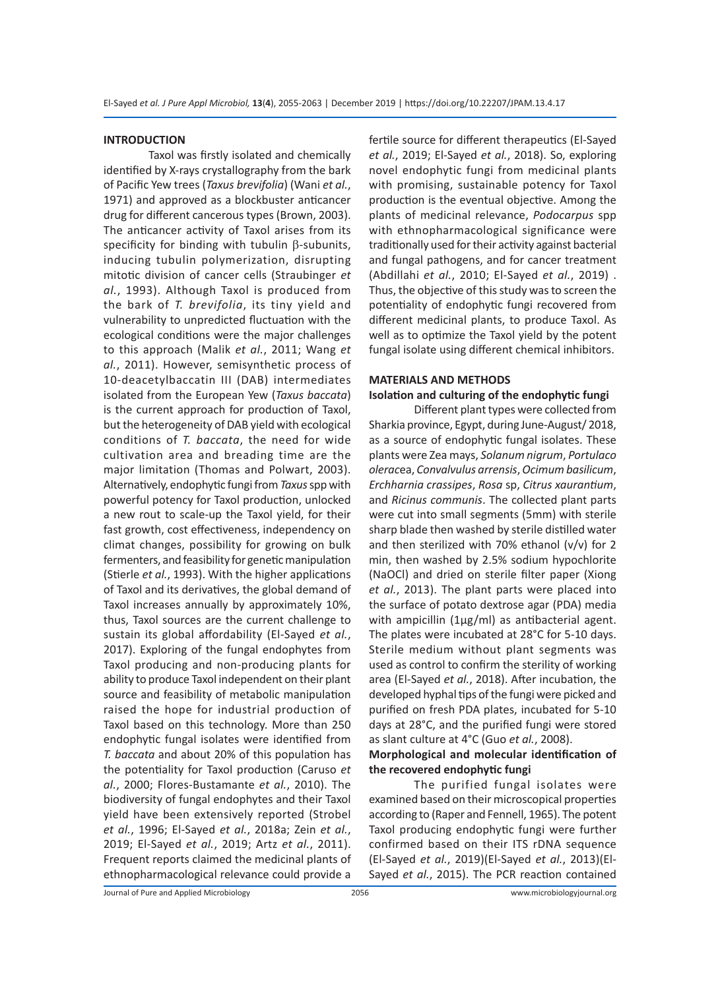### **INTRODUCTION**

Taxol was firstly isolated and chemically identified by X-rays crystallography from the bark of Pacific Yew trees (*Taxus brevifolia*) (Wani *et al.*, 1971) and approved as a blockbuster anticancer drug for different cancerous types (Brown, 2003). The anticancer activity of Taxol arises from its specificity for binding with tubulin β-subunits, inducing tubulin polymerization, disrupting mitotic division of cancer cells (Straubinger *et al.*, 1993). Although Taxol is produced from the bark of *T. brevifolia*, its tiny yield and vulnerability to unpredicted fluctuation with the ecological conditions were the major challenges to this approach (Malik *et al.*, 2011; Wang *et al.*, 2011). However, semisynthetic process of 10-deacetylbaccatin III (DAB) intermediates isolated from the European Yew (*Taxus baccata*) is the current approach for production of Taxol, but the heterogeneity of DAB yield with ecological conditions of *T. baccata*, the need for wide cultivation area and breading time are the major limitation (Thomas and Polwart, 2003). Alternatively, endophytic fungi from *Taxus* sppwith powerful potency for Taxol production, unlocked a new rout to scale-up the Taxol yield, for their fast growth, cost effectiveness, independency on climat changes, possibility for growing on bulk fermenters, and feasibility for genetic manipulation (Stierle *et al.*, 1993). With the higher applications of Taxol and its derivatives, the global demand of Taxol increases annually by approximately 10%, thus, Taxol sources are the current challenge to sustain its global affordability (El-Sayed *et al.*, 2017). Exploring of the fungal endophytes from Taxol producing and non-producing plants for ability to produce Taxol independent on their plant source and feasibility of metabolic manipulation raised the hope for industrial production of Taxol based on this technology. More than 250 endophytic fungal isolates were identified from *T. baccata* and about 20% of this population has the potentiality for Taxol production (Caruso *et al.*, 2000; Flores-Bustamante *et al.*, 2010). The biodiversity of fungal endophytes and their Taxol yield have been extensively reported (Strobel *et al.*, 1996; El-Sayed *et al.*, 2018a; Zein *et al.*, 2019; El-Sayed *et al.*, 2019; Artz *et al.*, 2011). Frequent reports claimed the medicinal plants of ethnopharmacological relevance could provide a fertile source for different therapeutics (El-Sayed *et al.*, 2019; El-Sayed *et al.*, 2018). So, exploring novel endophytic fungi from medicinal plants with promising, sustainable potency for Taxol production is the eventual objective. Among the plants of medicinal relevance, *Podocarpus* spp with ethnopharmacological significance were traditionally used for their activity against bacterial and fungal pathogens, and for cancer treatment (Abdillahi *et al.*, 2010; El-Sayed *et al.*, 2019) . Thus, the objective of this study was to screen the potentiality of endophytic fungi recovered from different medicinal plants, to produce Taxol. As well as to optimize the Taxol yield by the potent fungal isolate using different chemical inhibitors.

### **MATERIALS AND METHODS**

### **Isolation and culturing of the endophytic fungi**

Different plant types were collected from Sharkia province, Egypt, during June-August/ 2018, as a source of endophytic fungal isolates. These plants were Zea mays, *Solanum nigrum*, *Portulaco olerac*ea, *Convalvulus arrensis*, *Ocimum basilicum*, *Erchharnia crassipes*, *Rosa* sp, *Citrus xaurantium*, and *Ricinus communis*. The collected plant parts were cut into small segments (5mm) with sterile sharp blade then washed by sterile distilled water and then sterilized with 70% ethanol (v/v) for 2 min, then washed by 2.5% sodium hypochlorite (NaOCl) and dried on sterile filter paper (Xiong *et al.*, 2013). The plant parts were placed into the surface of potato dextrose agar (PDA) media with ampicillin (1µg/ml) as antibacterial agent. The plates were incubated at 28°C for 5-10 days. Sterile medium without plant segments was used as control to confirm the sterility of working area (El-Sayed *et al.*, 2018). After incubation, the developed hyphal tips of the fungi were picked and purified on fresh PDA plates, incubated for 5-10 days at 28°C, and the purified fungi were stored as slant culture at 4°C (Guo *et al.*, 2008).

### **Morphological and molecular identification of the recovered endophytic fungi**

The purified fungal isolates were examined based on their microscopical properties according to (Raper and Fennell, 1965). The potent Taxol producing endophytic fungi were further confirmed based on their ITS rDNA sequence (El-Sayed *et al.*, 2019)(El-Sayed *et al.*, 2013)(El-Sayed *et al.*, 2015). The PCR reaction contained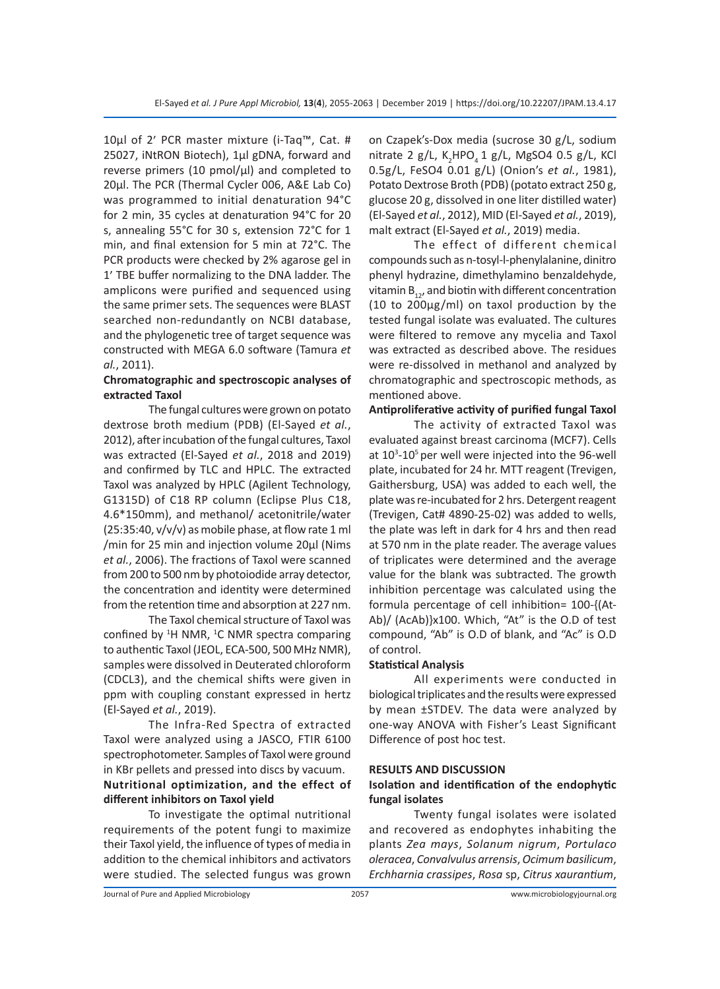10µl of 2׳ PCR master mixture (i-Taq™, Cat. # 25027, iNtRON Biotech), 1µl gDNA, forward and reverse primers (10 pmol/ $\mu$ l) and completed to 20µl. The PCR (Thermal Cycler 006, A&E Lab Co) was programmed to initial denaturation 94°C for 2 min, 35 cycles at denaturation 94°C for 20 s, annealing 55°C for 30 s, extension 72°C for 1 min, and final extension for 5 min at 72°C. The PCR products were checked by 2% agarose gel in 1׳ TBE buffer normalizing to the DNA ladder. The amplicons were purified and sequenced using the same primer sets. The sequences were BLAST searched non-redundantly on NCBI database, and the phylogenetic tree of target sequence was constructed with MEGA 6.0 software (Tamura *et al.*, 2011).

### **Chromatographic and spectroscopic analyses of extracted Taxol**

The fungal cultures were grown on potato dextrose broth medium (PDB) (El-Sayed *et al.*, 2012), after incubation of the fungal cultures, Taxol was extracted (El-Sayed *et al.*, 2018 and 2019) and confirmed by TLC and HPLC. The extracted Taxol was analyzed by HPLC (Agilent Technology, G1315D) of C18 RP column (Eclipse Plus C18, 4.6\*150mm), and methanol/ acetonitrile/water  $(25:35:40, v/v/v)$  as mobile phase, at flow rate 1 ml /min for 25 min and injection volume 20µl (Nims *et al.*, 2006). The fractions of Taxol were scanned from 200 to 500 nm by photoiodide array detector, the concentration and identity were determined from the retention time and absorption at 227 nm.

The Taxol chemical structure of Taxol was confined by  ${}^{1}$ H NMR,  ${}^{1}$ C NMR spectra comparing to authentic Taxol (JEOL, ECA-500, 500 MHz NMR), samples were dissolved in Deuterated chloroform (CDCL3), and the chemical shifts were given in ppm with coupling constant expressed in hertz (El-Sayed *et al.*, 2019).

The Infra-Red Spectra of extracted Taxol were analyzed using a JASCO, FTIR 6100 spectrophotometer. Samples of Taxol were ground in KBr pellets and pressed into discs by vacuum. **Nutritional optimization, and the effect of different inhibitors on Taxol yield** 

To investigate the optimal nutritional requirements of the potent fungi to maximize their Taxol yield, the influence of types of media in addition to the chemical inhibitors and activators were studied. The selected fungus was grown on Czapek's-Dox media (sucrose 30 g/L, sodium nitrate 2 g/L, K<sub>2</sub>HPO<sub>4</sub> 1 g/L, MgSO4 0.5 g/L, KCl 0.5g/L, FeSO4 0.01 g/L) (Onion's *et al.*, 1981), Potato Dextrose Broth (PDB) (potato extract 250 g, glucose 20 g, dissolved in one liter distilled water) (El-Sayed *et al.*, 2012), MID (El-Sayed *et al.*, 2019), malt extract (El-Sayed *et al.*, 2019) media.

The effect of different chemical compounds such as n-tosyl-l-phenylalanine, dinitro phenyl hydrazine, dimethylamino benzaldehyde, vitamin  $B_{12}$ , and biotin with different concentration (10 to 200µg/ml) on taxol production by the tested fungal isolate was evaluated. The cultures were filtered to remove any mycelia and Taxol was extracted as described above. The residues were re-dissolved in methanol and analyzed by chromatographic and spectroscopic methods, as mentioned above.

### **Antiproliferative activity of purified fungal Taxol**

The activity of extracted Taxol was evaluated against breast carcinoma (MCF7). Cells at 10<sup>3</sup>-10<sup>5</sup> per well were injected into the 96-well plate, incubated for 24 hr. MTT reagent (Trevigen, Gaithersburg, USA) was added to each well, the plate was re-incubated for 2 hrs. Detergent reagent (Trevigen, Cat# 4890-25-02) was added to wells, the plate was left in dark for 4 hrs and then read at 570 nm in the plate reader. The average values of triplicates were determined and the average value for the blank was subtracted. The growth inhibition percentage was calculated using the formula percentage of cell inhibition= 100-{(At-Ab)/ (AcAb)}x100. Which, "At" is the O.D of test compound, "Ab" is O.D of blank, and "Ac" is O.D of control.

### **Statistical Analysis**

All experiments were conducted in biological triplicates and the results were expressed by mean ±STDEV. The data were analyzed by one-way ANOVA with Fisher's Least Significant Difference of post hoc test.

### **RESULTS AND DISCUSSION**

### **Isolation and identification of the endophytic fungal isolates**

Twenty fungal isolates were isolated and recovered as endophytes inhabiting the plants *Zea mays*, *Solanum nigrum*, *Portulaco oleracea*, *Convalvulus arrensis*, *Ocimum basilicum*, *Erchharnia crassipes*, *Rosa* sp, *Citrus xaurantium*,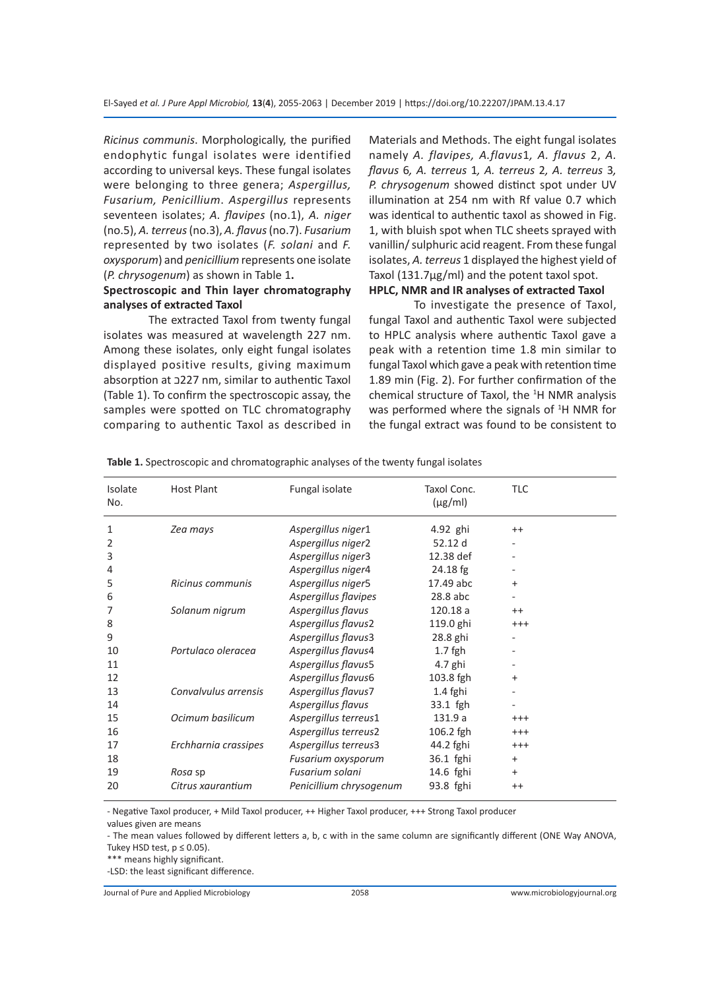*Ricinus communis*. Morphologically, the purified endophytic fungal isolates were identified according to universal keys. These fungal isolates were belonging to three genera; *Aspergillus, Fusarium, Penicillium*. *Aspergillus* represents seventeen isolates; *A. flavipes* (no.1), *A. niger* (no.5), *A. terreus* (no.3), *A. flavus* (no.7). *Fusarium* represented by two isolates (*F. solani* and *F. oxysporum*) and *penicillium* represents one isolate (*P. chrysogenum*) as shown in Table 1**.**

### **Spectroscopic and Thin layer chromatography analyses of extracted Taxol**

The extracted Taxol from twenty fungal isolates was measured at wavelength 227 nm. Among these isolates, only eight fungal isolates displayed positive results, giving maximum absorption at כ227 nm, similar to authentic Taxol (Table 1). To confirm the spectroscopic assay, the samples were spotted on TLC chromatography comparing to authentic Taxol as described in Materials and Methods. The eight fungal isolates namely *A. flavipes, A.flavus*1*, A. flavus* 2, *A. flavus* 6*, A. terreus* 1*, A. terreus* 2*, A. terreus* 3*, P. chrysogenum* showed distinct spot under UV illumination at 254 nm with Rf value 0.7 which was identical to authentic taxol as showed in Fig. 1, with bluish spot when TLC sheets sprayed with vanillin/ sulphuric acid reagent. From these fungal isolates, *A. terreus* 1 displayed the highest yield of Taxol (131.7µg/ml) and the potent taxol spot.

## **HPLC, NMR and IR analyses of extracted Taxol**

To investigate the presence of Taxol, fungal Taxol and authentic Taxol were subjected to HPLC analysis where authentic Taxol gave a peak with a retention time 1.8 min similar to fungal Taxol which gave a peak with retention time 1.89 min (Fig. 2). For further confirmation of the chemical structure of Taxol, the <sup>1</sup>H NMR analysis was performed where the signals of  $^1$ H NMR for the fungal extract was found to be consistent to

| Isolate<br>No. | <b>Host Plant</b>    | Fungal isolate          | Taxol Conc.<br>$(\mu g/ml)$ | <b>TLC</b> |
|----------------|----------------------|-------------------------|-----------------------------|------------|
| 1              | Zea mays             | Aspergillus niger1      | 4.92 ghi                    | $^{++}$    |
| 2              |                      | Aspergillus niger2      | 52.12 d                     |            |
| 3              |                      | Aspergillus niger3      | 12.38 def                   |            |
| 4              |                      | Aspergillus niger4      | $24.18$ fg                  |            |
| 5              | Ricinus communis     | Aspergillus niger5      | 17.49 abc                   | $\ddot{}$  |
| 6              |                      | Aspergillus flavipes    | 28.8 abc                    |            |
| 7              | Solanum nigrum       | Aspergillus flavus      | 120.18 a                    | $^{++}$    |
| 8              |                      | Aspergillus flavus2     | 119.0 ghi                   | $^{+++}$   |
| 9              |                      | Aspergillus flavus3     | 28.8 ghi                    |            |
| 10             | Portulaco oleracea   | Aspergillus flavus4     | $1.7$ fgh                   |            |
| 11             |                      | Aspergillus flavus5     | 4.7 ghi                     |            |
| 12             |                      | Aspergillus flavus6     | 103.8 fgh                   | $+$        |
| 13             | Convalvulus arrensis | Aspergillus flavus7     | 1.4 fghi                    |            |
| 14             |                      | Aspergillus flavus      | 33.1 fgh                    |            |
| 15             | Ocimum basilicum     | Aspergillus terreus1    | 131.9 a                     | $^{+++}$   |
| 16             |                      | Aspergillus terreus2    | 106.2 fgh                   | $^{+++}$   |
| 17             | Erchharnia crassipes | Aspergillus terreus3    | 44.2 fghi                   | $^{+++}$   |
| 18             |                      | Fusarium oxysporum      | 36.1 fghi                   | $+$        |
| 19             | Rosa sp              | Fusarium solani         | 14.6 fghi                   | $+$        |
| 20             | Citrus xaurantium    | Penicillium chrysogenum | 93.8 fghi                   | $^{++}$    |

**Table 1.** Spectroscopic and chromatographic analyses of the twenty fungal isolates

- Negative Taxol producer, + Mild Taxol producer, ++ Higher Taxol producer, +++ Strong Taxol producer

values given are means

- The mean values followed by different letters a, b, c with in the same column are significantly different (ONE Way ANOVA, Tukey HSD test,  $p \le 0.05$ ).

\*\*\* means highly significant.

-LSD: the least significant difference.

Journal of Pure and Applied Microbiology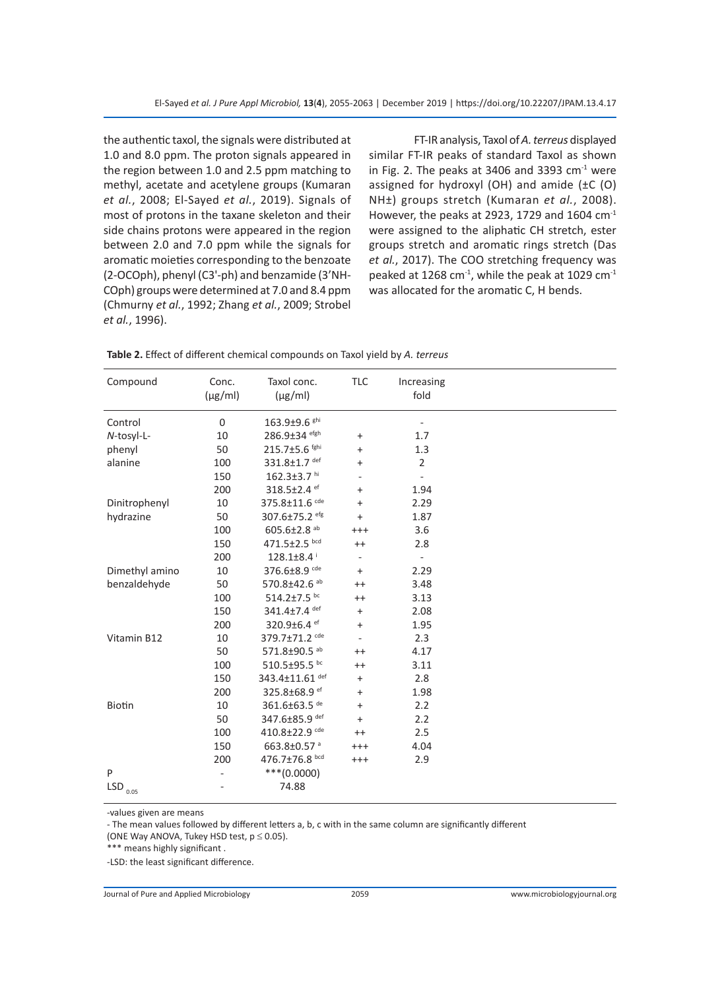the authentic taxol, the signals were distributed at 1.0 and 8.0 ppm. The proton signals appeared in the region between 1.0 and 2.5 ppm matching to methyl, acetate and acetylene groups (Kumaran *et al.*, 2008; El-Sayed *et al.*, 2019). Signals of most of protons in the taxane skeleton and their side chains protons were appeared in the region between 2.0 and 7.0 ppm while the signals for aromatic moieties corresponding to the benzoate (2-OCOph), phenyl (C3'-ph) and benzamide (3'NH-COph) groups were determined at 7.0 and 8.4 ppm (Chmurny *et al.*, 1992; Zhang *et al.*, 2009; Strobel *et al.*, 1996).

FT-IR analysis, Taxol of *A. terreus* displayed similar FT-IR peaks of standard Taxol as shown in Fig. 2. The peaks at 3406 and 3393  $cm<sup>-1</sup>$  were assigned for hydroxyl (OH) and amide (±C (O) NH±) groups stretch (Kumaran *et al.*, 2008). However, the peaks at 2923, 1729 and 1604 cm-1 were assigned to the aliphatic CH stretch, ester groups stretch and aromatic rings stretch (Das *et al.*, 2017). The COO stretching frequency was peaked at 1268 cm $^{-1}$ , while the peak at 1029 cm $^{-1}$ was allocated for the aromatic C, H bends.

**Table 2.** Effect of different chemical compounds on Taxol yield by *A. terreus*

| Compound                         | Conc.<br>$(\mu g/ml)$ | Taxol conc.<br>$(\mu g/ml)$ | <b>TLC</b>                       | Increasing<br>fold       |  |
|----------------------------------|-----------------------|-----------------------------|----------------------------------|--------------------------|--|
| Control                          | $\mathbf 0$           | 163.9±9.6 ghi               |                                  |                          |  |
| N-tosyl-L-                       | 10                    | 286.9±34 efgh               | $\begin{array}{c} + \end{array}$ | 1.7                      |  |
| phenyl                           | 50                    | 215.7±5.6 fghi              | $\ddot{}$                        | 1.3                      |  |
| alanine                          | 100                   | 331.8±1.7 def               | $\ddot{}$                        | $\overline{2}$           |  |
|                                  | 150                   | 162.3±3.7 hi                | ٠                                | $\overline{\phantom{0}}$ |  |
|                                  | 200                   | 318.5±2.4 ef                | $\ddot{}$                        | 1.94                     |  |
| Dinitrophenyl                    | 10                    | 375.8±11.6 cde              | $\ddot{}$                        | 2.29                     |  |
| hydrazine                        | 50                    | 307.6±75.2 efg              | $\ddot{}$                        | 1.87                     |  |
|                                  | 100                   | 605.6±2.8 ab                | $^{+++}$                         | 3.6                      |  |
|                                  | 150                   | 471.5±2.5 bcd               | $^{++}$                          | 2.8                      |  |
|                                  | 200                   | $128.1 \pm 8.4$             | $\overline{\phantom{0}}$         | $\overline{\phantom{0}}$ |  |
| Dimethyl amino                   | 10                    | 376.6±8.9 cde               | $+$                              | 2.29                     |  |
| benzaldehyde                     | 50                    | 570.8±42.6 ab               | $^{++}$                          | 3.48                     |  |
|                                  | 100                   | 514.2±7.5 bc                | $^{++}$                          | 3.13                     |  |
|                                  | 150                   | 341.4±7.4 def               | $\ddot{}$                        | 2.08                     |  |
|                                  | 200                   | 320.9±6.4 ef                | $\ddot{}$                        | 1.95                     |  |
| Vitamin B12                      | 10                    | 379.7±71.2 cde              | L,                               | 2.3                      |  |
|                                  | 50                    | 571.8±90.5 ab               | $^{++}$                          | 4.17                     |  |
|                                  | 100                   | 510.5±95.5 bc               | $^{++}$                          | 3.11                     |  |
|                                  | 150                   | 343.4±11.61 def             | $\ddot{}$                        | 2.8                      |  |
|                                  | 200                   | 325.8±68.9 ef               | $\ddot{}$                        | 1.98                     |  |
| Biotin                           | 10                    | 361.6±63.5 de               | $\ddot{}$                        | 2.2                      |  |
|                                  | 50                    | 347.6±85.9 def              | $+$                              | 2.2                      |  |
|                                  | 100                   | 410.8±22.9 cde              | $^{++}$                          | 2.5                      |  |
|                                  | 150                   | 663.8±0.57 <sup>a</sup>     | $^{+++}$                         | 4.04                     |  |
|                                  | 200                   | 476.7±76.8 bcd              | $^{+++}$                         | 2.9                      |  |
| P                                |                       | $***(0.0000)$               |                                  |                          |  |
| $\mathsf{LSD}_{\phantom{0}0.05}$ |                       | 74.88                       |                                  |                          |  |

-values given are means

- The mean values followed by different letters a, b, c with in the same column are significantly different

(ONE Way ANOVA, Tukey HSD test,  $p \le 0.05$ ).

\*\*\* means highly significant .

-LSD: the least significant difference.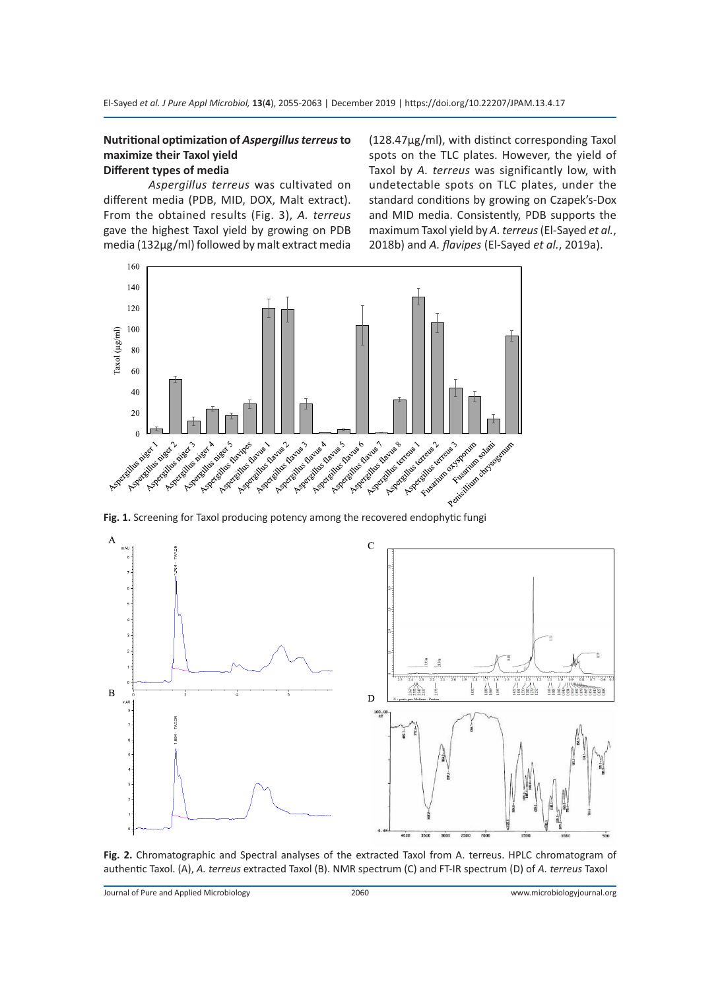### **Nutritional optimization of** *Aspergillus terreus* **to maximize their Taxol yield Different types of media**

*Aspergillus terreus* was cultivated on different media (PDB, MID, DOX, Malt extract). From the obtained results (Fig. 3), *A. terreus* gave the highest Taxol yield by growing on PDB media (132µg/ml) followed by malt extract media (128.47µg/ml), with distinct corresponding Taxol spots on the TLC plates. However, the yield of Taxol by *A. terreus* was significantly low, with undetectable spots on TLC plates, under the standard conditions by growing on Czapek's-Dox and MID media. Consistently, PDB supports the maximum Taxol yield by *A. terreus* (El-Sayed *et al.*, 2018b) and *A. flavipes* (El-Sayed *et al.*, 2019a).





**Fig. 2.** Chromatographic and Spectral analyses of the extracted Taxol from A. terreus. HPLC chromatogram of authentic Taxol. (A), *A. terreus* extracted Taxol (B). NMR spectrum (C) and FT-IR spectrum (D) of *A. terreus* Taxol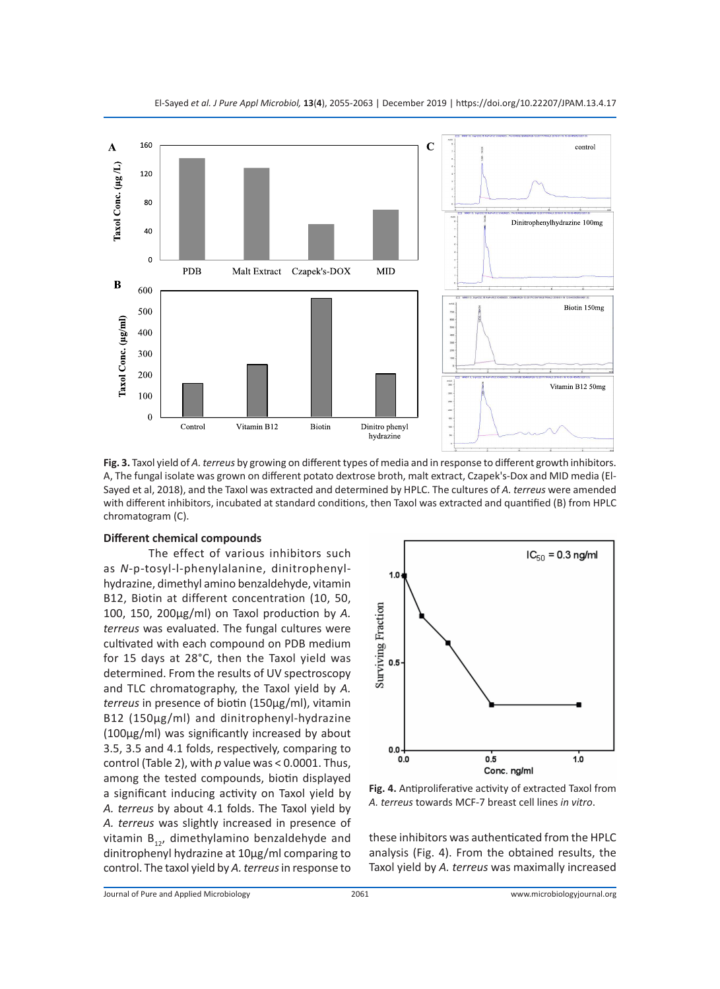

**Fig. 3.** Taxol yield of *A. terreus* by growing on different types of media and in response to different growth inhibitors. A, The fungal isolate was grown on different potato dextrose broth, malt extract, Czapek's-Dox and MID media (El-Sayed et al, 2018), and the Taxol was extracted and determined by HPLC. The cultures of *A. terreus* were amended with different inhibitors, incubated at standard conditions, then Taxol was extracted and quantified (B) from HPLC chromatogram (C).

### **Different chemical compounds**

The effect of various inhibitors such as *N*-p-tosyl-l-phenylalanine, dinitrophenylhydrazine, dimethyl amino benzaldehyde, vitamin B12, Biotin at different concentration (10, 50, 100, 150, 200µg/ml) on Taxol production by *A. terreus* was evaluated. The fungal cultures were cultivated with each compound on PDB medium for 15 days at 28°C, then the Taxol yield was determined. From the results of UV spectroscopy and TLC chromatography, the Taxol yield by *A. terreus* in presence of biotin (150µg/ml), vitamin B12 (150µg/ml) and dinitrophenyl-hydrazine (100µg/ml) was significantly increased by about 3.5, 3.5 and 4.1 folds, respectively, comparing to control (Table 2), with *p* value was < 0.0001. Thus, among the tested compounds, biotin displayed a significant inducing activity on Taxol yield by *A. terreus* by about 4.1 folds. The Taxol yield by *A. terreus* was slightly increased in presence of vitamin  $B_{12}$ , dimethylamino benzaldehyde and dinitrophenyl hydrazine at 10µg/ml comparing to control. The taxol yield by *A. terreus* in response to



**Fig. 4.** Antiproliferative activity of extracted Taxol from *A. terreus* towards MCF-7 breast cell lines *in vitro*.

these inhibitors was authenticated from the HPLC analysis (Fig. 4). From the obtained results, the Taxol yield by *A. terreus* was maximally increased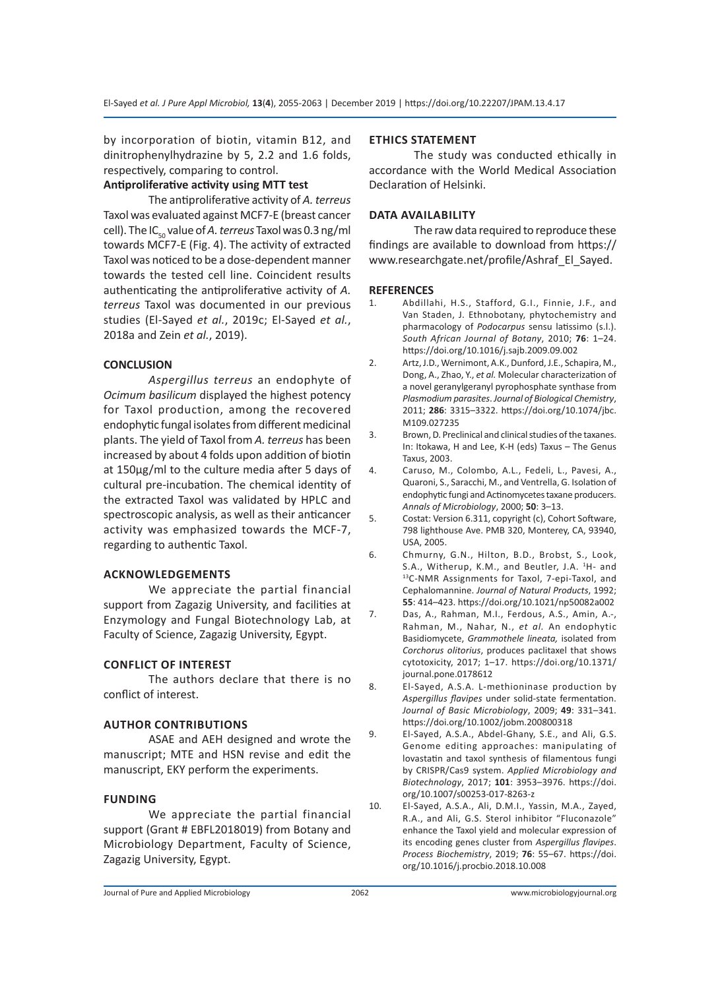by incorporation of biotin, vitamin B12, and dinitrophenylhydrazine by 5, 2.2 and 1.6 folds, respectively, comparing to control.

### **Antiproliferative activity using MTT test**

The antiproliferative activity of *A. terreus* Taxol was evaluated against MCF7-E (breast cancer cell). The IC50 value of *A. terreus* Taxol was 0.3 ng/ml towards MCF7-E (Fig. 4). The activity of extracted Taxol was noticed to be a dose-dependent manner towards the tested cell line. Coincident results authenticating the antiproliferative activity of *A. terreus* Taxol was documented in our previous studies (El-Sayed *et al.*, 2019c; El-Sayed *et al.*, 2018a and Zein *et al.*, 2019).

### **CONCLUSION**

*Aspergillus terreus* an endophyte of *Ocimum basilicum* displayed the highest potency for Taxol production, among the recovered endophytic fungal isolates from different medicinal plants. The yield of Taxol from *A. terreus* has been increased by about 4 folds upon addition of biotin at 150µg/ml to the culture media after 5 days of cultural pre-incubation. The chemical identity of the extracted Taxol was validated by HPLC and spectroscopic analysis, as well as their anticancer activity was emphasized towards the MCF-7, regarding to authentic Taxol.

### **ACKNOWLEDGEMENTS**

We appreciate the partial financial support from Zagazig University, and facilities at Enzymology and Fungal Biotechnology Lab, at Faculty of Science, Zagazig University, Egypt.

### **CONFLICT OF INTEREST**

The authors declare that there is no conflict of interest.

### **AUTHOR CONTRIBUTIONS**

ASAE and AEH designed and wrote the manuscript; MTE and HSN revise and edit the manuscript, EKY perform the experiments.

### **FUNDING**

We appreciate the partial financial support (Grant # EBFL2018019) from Botany and Microbiology Department, Faculty of Science, Zagazig University, Egypt.

### **ETHICS STATEMENT**

The study was conducted ethically in accordance with the World Medical Association Declaration of Helsinki.

### **DATA AVAILABILITY**

The raw data required to reproduce these findings are available to download from https:// www.researchgate.net/profile/Ashraf\_El\_Sayed.

### **REFERENCES**

- 1. Abdillahi, H.S., Stafford, G.I., Finnie, J.F., and Van Staden, J. Ethnobotany, phytochemistry and pharmacology of *Podocarpus* sensu latissimo (s.l.). *South African Journal of Botany*, 2010; **76**: 1–24. https://doi.org/10.1016/j.sajb.2009.09.002
- 2. Artz, J.D., Wernimont, A.K., Dunford, J.E., Schapira, M., Dong, A., Zhao, Y., *et al.* Molecular characterization of a novel geranylgeranyl pyrophosphate synthase from *Plasmodium parasites*. *Journal of Biological Chemistry*, 2011; **286**: 3315–3322. https://doi.org/10.1074/jbc. M109.027235
- 3. Brown, D. Preclinical and clinical studies of the taxanes. In: Itokawa, H and Lee, K-H (eds) Taxus – The Genus Taxus, 2003.
- 4. Caruso, M., Colombo, A.L., Fedeli, L., Pavesi, A., Quaroni, S., Saracchi, M., and Ventrella, G. Isolation of endophytic fungi and Actinomycetes taxane producers. *Annals of Microbiology*, 2000; **50**: 3–13.
- 5. Costat: Version 6.311, copyright (c), Cohort Software, 798 lighthouse Ave. PMB 320, Monterey, CA, 93940, USA, 2005.
- 6. Chmurny, G.N., Hilton, B.D., Brobst, S., Look, S.A., Witherup, K.M., and Beutler, J.A. <sup>1</sup>H- and 13C-NMR Assignments for Taxol, 7-epi-Taxol, and Cephalomannine. *Journal of Natural Products*, 1992; **55**: 414–423. https://doi.org/10.1021/np50082a002
- 7. Das, A., Rahman, M.I., Ferdous, A.S., Amin, A.-, Rahman, M., Nahar, N., *et al.* An endophytic Basidiomycete, *Grammothele lineata,* isolated from *Corchorus olitorius*, produces paclitaxel that shows cytotoxicity, 2017; 1–17. https://doi.org/10.1371/ journal.pone.0178612
- 8. El-Sayed, A.S.A. L-methioninase production by *Aspergillus flavipes* under solid-state fermentation. *Journal of Basic Microbiology*, 2009; **49**: 331–341. https://doi.org/10.1002/jobm.200800318
- 9. El-Sayed, A.S.A., Abdel-Ghany, S.E., and Ali, G.S. Genome editing approaches: manipulating of lovastatin and taxol synthesis of filamentous fungi by CRISPR/Cas9 system. *Applied Microbiology and Biotechnology*, 2017; **101**: 3953–3976. https://doi. org/10.1007/s00253-017-8263-z
- 10. El-Sayed, A.S.A., Ali, D.M.I., Yassin, M.A., Zayed, R.A., and Ali, G.S. Sterol inhibitor "Fluconazole" enhance the Taxol yield and molecular expression of its encoding genes cluster from *Aspergillus flavipes*. *Process Biochemistry*, 2019; **76**: 55–67. https://doi. org/10.1016/j.procbio.2018.10.008